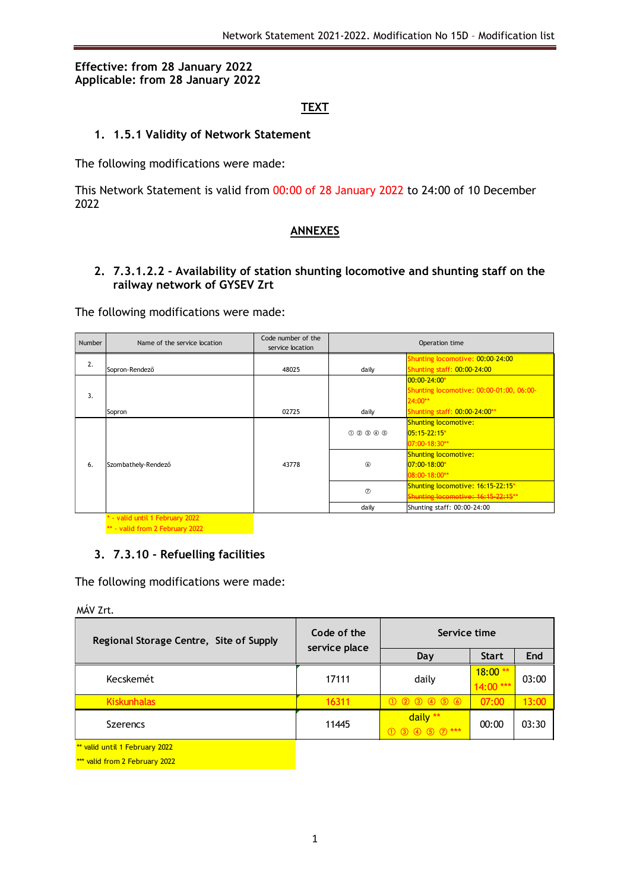## **Effective: from 28 January 2022 Applicable: from 28 January 2022**

# **TEXT**

## **1. 1.5.1 Validity of Network Statement**

The following modifications were made:

This Network Statement is valid from 00:00 of 28 January 2022 to 24:00 of 10 December 2022

#### **ANNEXES**

# **2. 7.3.1.2.2 - Availability of station shunting locomotive and shunting staff on the railway network of GYSEV Zrt**

The following modifications were made:

| Number | Name of the service location  | Code number of the<br>service location | Operation time |                                          |  |  |  |  |  |
|--------|-------------------------------|----------------------------------------|----------------|------------------------------------------|--|--|--|--|--|
| 2.     |                               |                                        |                | Shunting locomotive: 00:00-24:00         |  |  |  |  |  |
|        | Sopron-Rendező                | 48025                                  | daily          | Shunting staff: 00:00-24:00              |  |  |  |  |  |
|        |                               |                                        |                | 00:00-24:00*                             |  |  |  |  |  |
| 3.     |                               |                                        |                | Shunting locomotive: 00:00-01:00, 06:00- |  |  |  |  |  |
|        |                               |                                        |                | 24:00**                                  |  |  |  |  |  |
|        | Sopron                        | 02725                                  | daily          | Shunting staff: 00:00-24:00**            |  |  |  |  |  |
|        |                               |                                        |                | <b>Shunting locomotive:</b>              |  |  |  |  |  |
|        |                               |                                        | 000000         | $05:15-22:15*$                           |  |  |  |  |  |
|        |                               |                                        |                | 07:00-18:30**                            |  |  |  |  |  |
|        |                               |                                        |                | <b>Shunting locomotive:</b>              |  |  |  |  |  |
| 6.     | Szombathely-Rendező           | 43778                                  | $\circled{6}$  | $07:00 - 18:00*$                         |  |  |  |  |  |
|        |                               |                                        |                | 08:00-18:00**                            |  |  |  |  |  |
|        |                               |                                        | $\circledcirc$ | Shunting locomotive: 16:15-22:15*        |  |  |  |  |  |
|        |                               |                                        |                | Shunting locomotive: 16:15-22:15**       |  |  |  |  |  |
|        |                               |                                        | daily          | Shunting staff: 00:00-24:00              |  |  |  |  |  |
|        | - valid until 1 February 2022 |                                        |                |                                          |  |  |  |  |  |

\*\* - valid from 2 February 2022

#### **3. 7.3.10 - Refuelling facilities**

The following modifications were made:

MÁV Zrt.

| Regional Storage Centre, Site of Supply | Code of the<br>service place | Service time                          |                        |       |  |  |  |
|-----------------------------------------|------------------------------|---------------------------------------|------------------------|-------|--|--|--|
|                                         |                              | Day                                   | <b>Start</b>           | End   |  |  |  |
| Kecskemét                               | 17111                        | daily                                 | $18:00**$<br>14:00 *** | 03:00 |  |  |  |
| <b>Kiskunhalas</b>                      | 16311                        | $(1)$ $(2)$ $(3)$ $(4)$ $(5)$ $(6)$   | 07:00                  | 13:00 |  |  |  |
| <b>Szerencs</b>                         | 11445                        | daily **<br>$(1)$ (3) (4) (5) (7) *** | 00:00                  | 03:30 |  |  |  |
| ** valid until 1 February 2022          |                              |                                       |                        |       |  |  |  |

\*\*\* valid from 2 February 2022